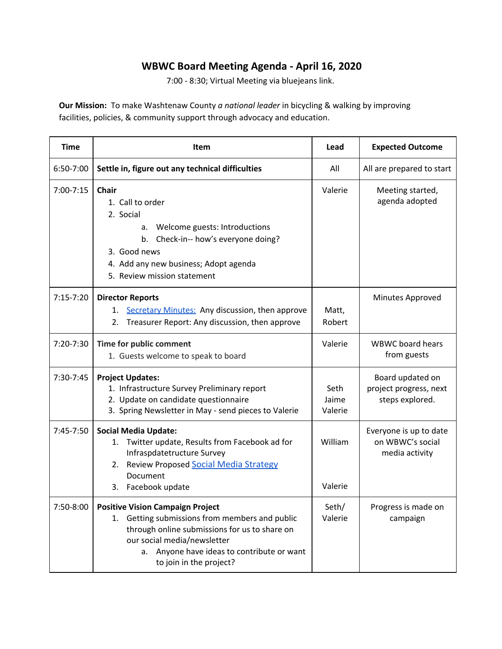## **WBWC Board Meeting Agenda - April 16, 2020**

7:00 - 8:30; Virtual Meeting via bluejeans link.

**Our Mission:** To make Washtenaw County *a national leader* in bicycling & walking by improving facilities, policies, & community support through advocacy and education.

| <b>Time</b>   | Item                                                                                                                                                                                                                                                     | Lead                     | <b>Expected Outcome</b>                                       |
|---------------|----------------------------------------------------------------------------------------------------------------------------------------------------------------------------------------------------------------------------------------------------------|--------------------------|---------------------------------------------------------------|
| 6:50-7:00     | Settle in, figure out any technical difficulties                                                                                                                                                                                                         | All                      | All are prepared to start                                     |
| $7:00 - 7:15$ | <b>Chair</b><br>1. Call to order<br>2. Social<br>Welcome guests: Introductions<br>а.<br>b. Check-in-- how's everyone doing?<br>3. Good news<br>4. Add any new business; Adopt agenda<br>5. Review mission statement                                      | Valerie                  | Meeting started,<br>agenda adopted                            |
| $7:15 - 7:20$ | <b>Director Reports</b><br>Secretary Minutes: Any discussion, then approve<br>1.<br>Treasurer Report: Any discussion, then approve<br>2.                                                                                                                 | Matt,<br>Robert          | Minutes Approved                                              |
| $7:20 - 7:30$ | Time for public comment<br>1. Guests welcome to speak to board                                                                                                                                                                                           | Valerie                  | <b>WBWC</b> board hears<br>from guests                        |
| 7:30-7:45     | <b>Project Updates:</b><br>1. Infrastructure Survey Preliminary report<br>2. Update on candidate questionnaire<br>3. Spring Newsletter in May - send pieces to Valerie                                                                                   | Seth<br>Jaime<br>Valerie | Board updated on<br>project progress, next<br>steps explored. |
| 7:45-7:50     | <b>Social Media Update:</b><br>Twitter update, Results from Facebook ad for<br>1.<br>Infraspdatetructure Survey<br><b>Review Proposed Social Media Strategy</b><br>2.<br>Document<br>Facebook update<br>3.                                               | William<br>Valerie       | Everyone is up to date<br>on WBWC's social<br>media activity  |
| 7:50-8:00     | <b>Positive Vision Campaign Project</b><br>Getting submissions from members and public<br>1.<br>through online submissions for us to share on<br>our social media/newsletter<br>Anyone have ideas to contribute or want<br>а.<br>to join in the project? | Seth/<br>Valerie         | Progress is made on<br>campaign                               |